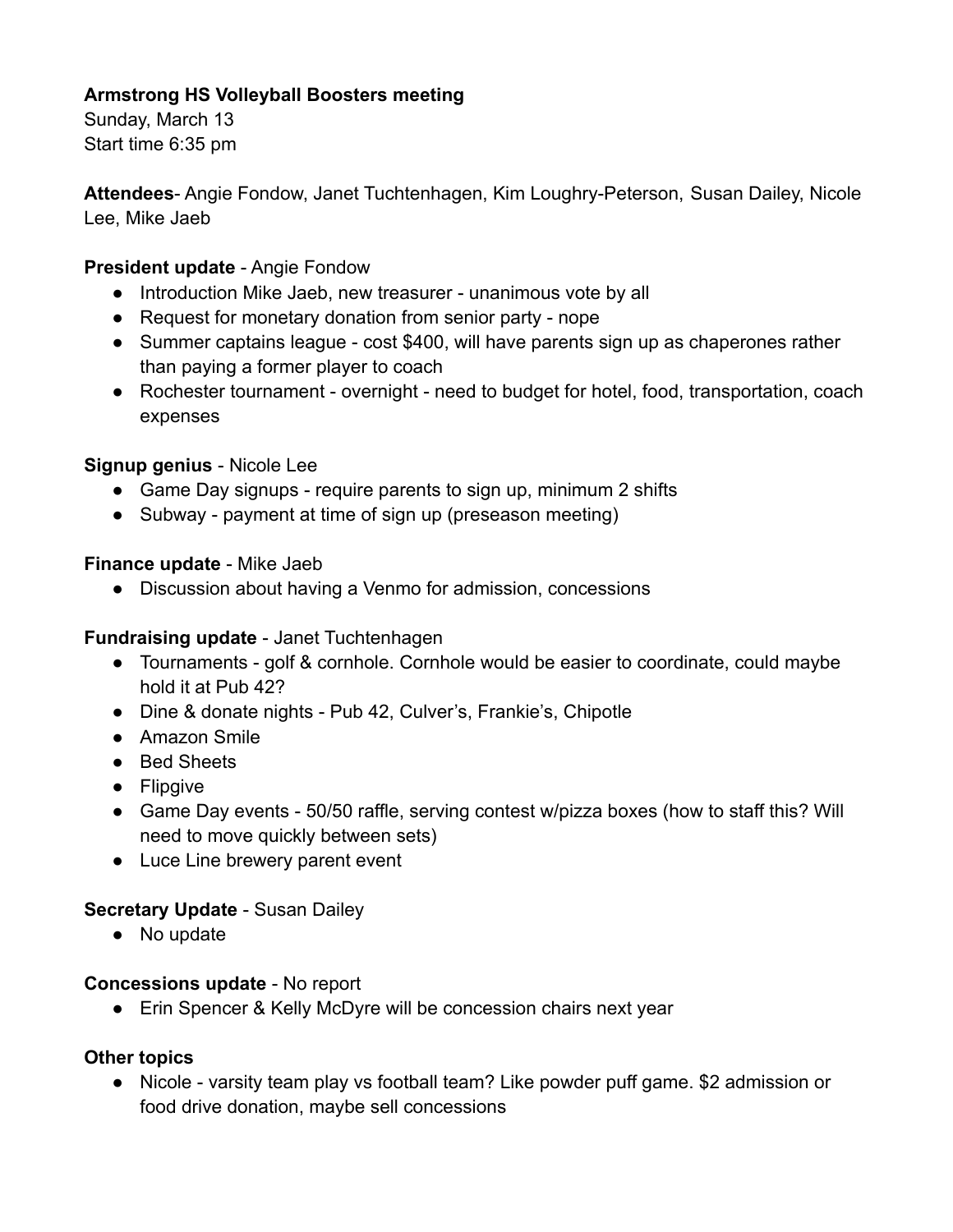# **Armstrong HS Volleyball Boosters meeting**

Sunday, March 13 Start time 6:35 pm

**Attendees**- Angie Fondow, Janet Tuchtenhagen, Kim Loughry-Peterson, Susan Dailey, Nicole Lee, Mike Jaeb

### **President update** - Angie Fondow

- Introduction Mike Jaeb, new treasurer unanimous vote by all
- Request for monetary donation from senior party nope
- Summer captains league cost \$400, will have parents sign up as chaperones rather than paying a former player to coach
- Rochester tournament overnight need to budget for hotel, food, transportation, coach expenses

## **Signup genius** - Nicole Lee

- Game Day signups require parents to sign up, minimum 2 shifts
- Subway payment at time of sign up (preseason meeting)

### **Finance update** - Mike Jaeb

● Discussion about having a Venmo for admission, concessions

## **Fundraising update** - Janet Tuchtenhagen

- Tournaments golf & cornhole. Cornhole would be easier to coordinate, could maybe hold it at Pub 42?
- Dine & donate nights Pub 42, Culver's, Frankie's, Chipotle
- Amazon Smile
- Bed Sheets
- Flipgive
- Game Day events 50/50 raffle, serving contest w/pizza boxes (how to staff this? Will need to move quickly between sets)
- Luce Line brewery parent event

#### **Secretary Update** - Susan Dailey

• No update

#### **Concessions update** - No report

● Erin Spencer & Kelly McDyre will be concession chairs next year

#### **Other topics**

● Nicole - varsity team play vs football team? Like powder puff game. \$2 admission or food drive donation, maybe sell concessions